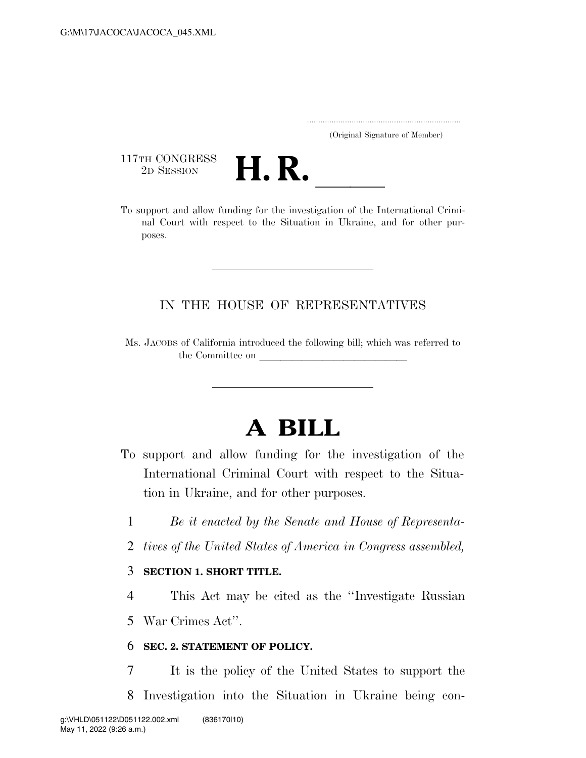..................................................................... (Original Signature of Member)

117TH CONGRESS<br>2D SESSION



117TH CONGRESS<br>
2D SESSION<br>
To support and allow funding for the investigation of the International Criminal Court with respect to the Situation in Ukraine, and for other purposes.

## IN THE HOUSE OF REPRESENTATIVES

Ms. JACOBS of California introduced the following bill; which was referred to the Committee on

# **A BILL**

- To support and allow funding for the investigation of the International Criminal Court with respect to the Situation in Ukraine, and for other purposes.
	- 1 *Be it enacted by the Senate and House of Representa-*
	- 2 *tives of the United States of America in Congress assembled,*

### 3 **SECTION 1. SHORT TITLE.**

4 This Act may be cited as the ''Investigate Russian

5 War Crimes Act''.

### 6 **SEC. 2. STATEMENT OF POLICY.**

- 7 It is the policy of the United States to support the
- 8 Investigation into the Situation in Ukraine being con-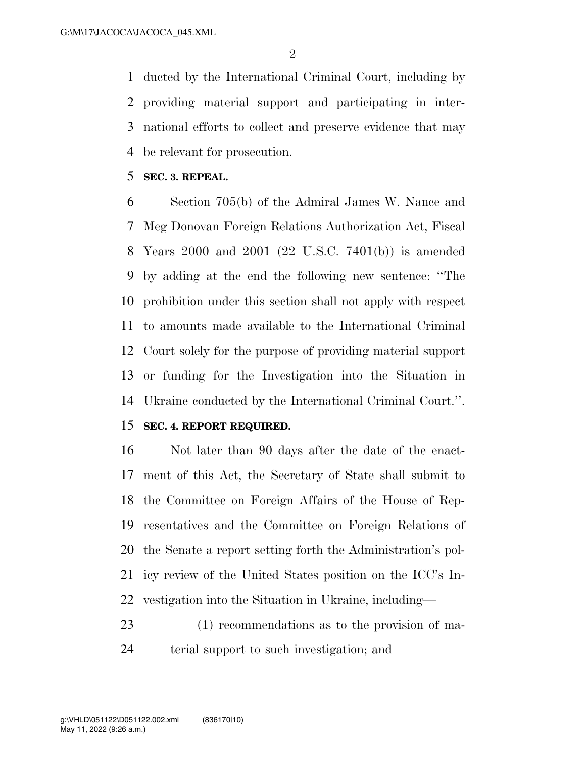ducted by the International Criminal Court, including by providing material support and participating in inter- national efforts to collect and preserve evidence that may be relevant for prosecution.

**SEC. 3. REPEAL.** 

 Section 705(b) of the Admiral James W. Nance and Meg Donovan Foreign Relations Authorization Act, Fiscal Years 2000 and 2001 (22 U.S.C. 7401(b)) is amended by adding at the end the following new sentence: ''The prohibition under this section shall not apply with respect to amounts made available to the International Criminal Court solely for the purpose of providing material support or funding for the Investigation into the Situation in Ukraine conducted by the International Criminal Court.''.

#### **SEC. 4. REPORT REQUIRED.**

 Not later than 90 days after the date of the enact- ment of this Act, the Secretary of State shall submit to the Committee on Foreign Affairs of the House of Rep- resentatives and the Committee on Foreign Relations of the Senate a report setting forth the Administration's pol- icy review of the United States position on the ICC's In-vestigation into the Situation in Ukraine, including—

 (1) recommendations as to the provision of ma-terial support to such investigation; and